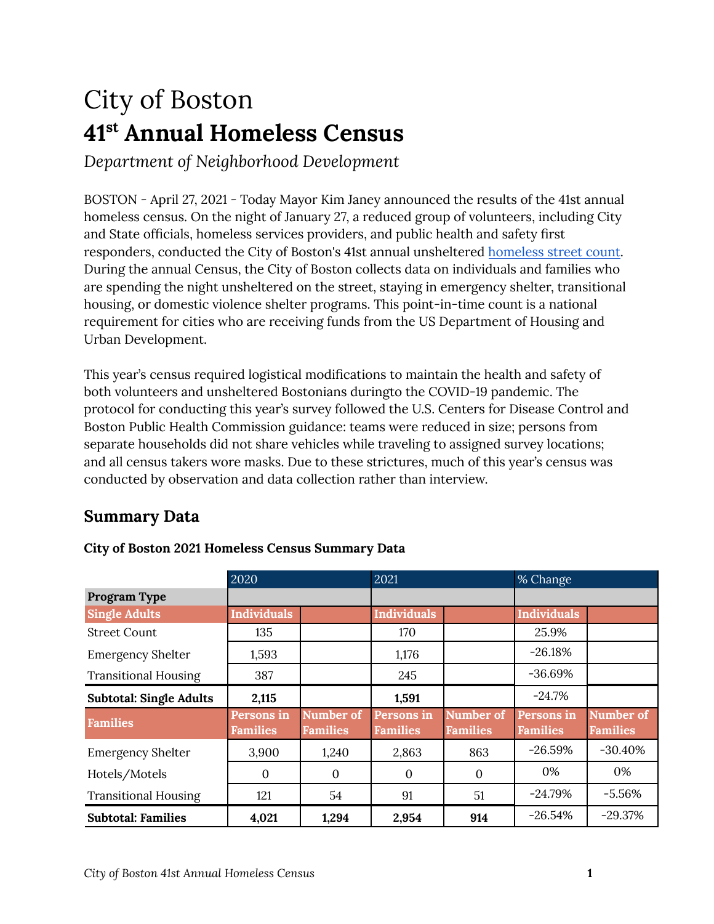# City of Boston **41 st Annual Homeless Census**

*Department of Neighborhood Development*

BOSTON - April 27, 2021 - Today Mayor Kim Janey announced the results of the 41st annual homeless census. On the night of January 27, a reduced group of volunteers, including City and State officials, homeless services providers, and public health and safety first responders, conducted the City of Boston's 41st annual unsheltered [homeless](http://r20.rs6.net/tn.jsp?f=001TG2xk6XAe_p6FMpz4dxfjiPlVtLLnG8N1zCSbDSGw0om9Dm5g3DOXdAB8-stIMiyn7NaFuiotzuxLFES97CBEys2aI_VbQTBaLbrtcFUNEVo5IxF3hXnGhKM9tJDfued-i5oukVykTl6COTZuXekACI8ir5o1aAn1cgoeFbcOMSzAemEiJxI-wJO0R8nv8PNXdKscuakvosdp-vZ7XE1-xZO0Hwuqgv_MLGMRh-NQw57v0f2igPykQg7pTSb6ONk&c=vZMyh5p9yJMBtazvtH1HP_dpvpX3agP_Eyr04D_x22qrJKaK0NiaaQ==&ch=d2Tbuz_93rbW7GO9kRrXm1hXIzginLvg6l61cxcjh4rxQ_sykSdHgw==) street count. During the annual Census, the City of Boston collects data on individuals and families who are spending the night unsheltered on the street, staying in emergency shelter, transitional housing, or domestic violence shelter programs. This point-in-time count is a national requirement for cities who are receiving funds from the US Department of Housing and Urban Development.

This year's census required logistical modifications to maintain the health and safety of both volunteers and unsheltered Bostonians duringto the COVID-19 pandemic. The protocol for conducting this year's survey followed the U.S. Centers for Disease Control and Boston Public Health Commission guidance: teams were reduced in size; persons from separate households did not share vehicles while traveling to assigned survey locations; and all census takers wore masks. Due to these strictures, much of this year's census was conducted by observation and data collection rather than interview.

# **Summary Data**

|                                | 2020                          |                              | 2021                          |                                     | % Change                      |                              |
|--------------------------------|-------------------------------|------------------------------|-------------------------------|-------------------------------------|-------------------------------|------------------------------|
| Program Type                   |                               |                              |                               |                                     |                               |                              |
| <b>Single Adults</b>           | <b>Individuals</b>            |                              | <b>Individuals</b>            |                                     | <b>Individuals</b>            |                              |
| <b>Street Count</b>            | 135                           |                              | 170                           |                                     | 25.9%                         |                              |
| <b>Emergency Shelter</b>       | 1,593                         |                              | 1,176                         |                                     | $-26.18%$                     |                              |
| <b>Transitional Housing</b>    | 387                           |                              | 245                           |                                     | $-36.69%$                     |                              |
| <b>Subtotal: Single Adults</b> | 2,115                         |                              | 1,591                         |                                     | $-24.7%$                      |                              |
| <b>Families</b>                | Persons in<br><b>Families</b> | Number of<br><b>Families</b> | Persons in<br><b>Families</b> | <b>Number of</b><br><b>Families</b> | Persons in<br><b>Families</b> | Number of<br><b>Families</b> |
| <b>Emergency Shelter</b>       | 3,900                         | 1,240                        | 2,863                         | 863                                 | $-26.59%$                     | $-30.40\%$                   |
| Hotels/Motels                  | $\Omega$                      | $\Omega$                     | $\mathbf{0}$                  | $\Omega$                            | 0%                            | 0%                           |
| <b>Transitional Housing</b>    | 121                           | 54                           | 91                            | 51                                  | $-24.79%$                     | $-5.56%$                     |
| <b>Subtotal: Families</b>      | 4,021                         | 1,294                        | 2,954                         | 914                                 | $-26.54%$                     | $-29.37%$                    |

#### **City of Boston 2021 Homeless Census Summary Data**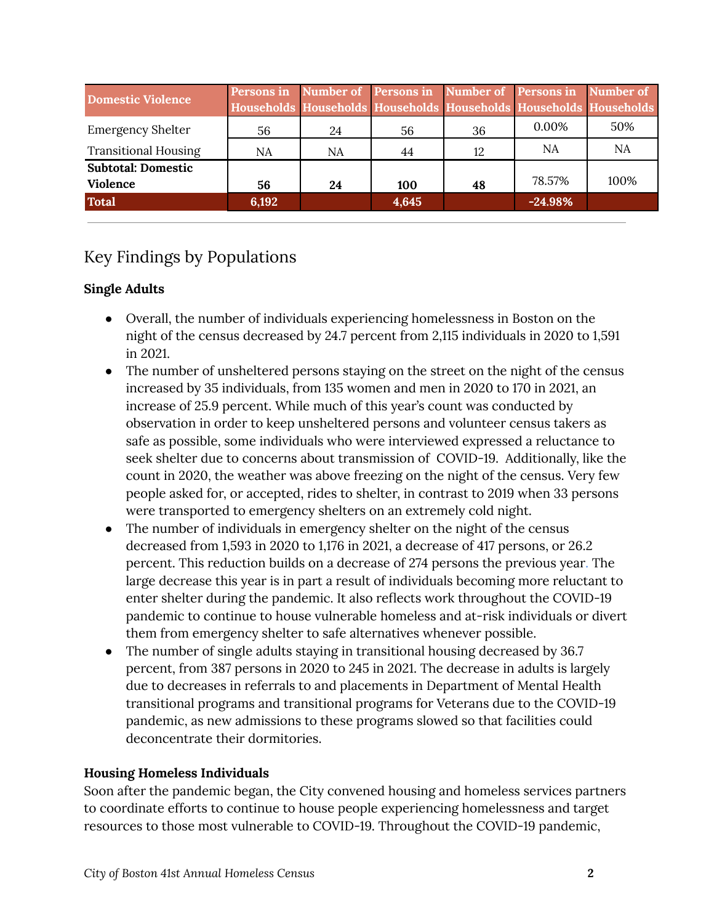| <b>Domestic Violence</b>    | Persons in |    | Number of Persons in Number of Persons in Number of<br>Households Households Households Households Households Households |    |           |      |
|-----------------------------|------------|----|--------------------------------------------------------------------------------------------------------------------------|----|-----------|------|
| <b>Emergency Shelter</b>    | 56         | 24 | 56                                                                                                                       | 36 | $0.00\%$  | 50%  |
| <b>Transitional Housing</b> | NA         | NA | 44                                                                                                                       | 12 | NA        | NA   |
| <b>Subtotal: Domestic</b>   |            |    |                                                                                                                          |    |           |      |
| <b>Violence</b>             | 56         | 24 | 100                                                                                                                      | 48 | 78.57%    | 100% |
| <b>Total</b>                | 6,192      |    | 4,645                                                                                                                    |    | $-24.98%$ |      |

# Key Findings by Populations

## **Single Adults**

- Overall, the number of individuals experiencing homelessness in Boston on the night of the census decreased by 24.7 percent from 2,115 individuals in 2020 to 1,591 in 2021.
- The number of unsheltered persons staying on the street on the night of the census increased by 35 individuals, from 135 women and men in 2020 to 170 in 2021, an increase of 25.9 percent. While much of this year's count was conducted by observation in order to keep unsheltered persons and volunteer census takers as safe as possible, some individuals who were interviewed expressed a reluctance to seek shelter due to concerns about transmission of COVID-19. Additionally, like the count in 2020, the weather was above freezing on the night of the census. Very few people asked for, or accepted, rides to shelter, in contrast to 2019 when 33 persons were transported to emergency shelters on an extremely cold night.
- The number of individuals in emergency shelter on the night of the census decreased from 1,593 in 2020 to 1,176 in 2021, a decrease of 417 persons, or 26.2 percent. This reduction builds on a decrease of 274 persons the previous year. The large decrease this year is in part a result of individuals becoming more reluctant to enter shelter during the pandemic. It also reflects work throughout the COVID-19 pandemic to continue to house vulnerable homeless and at-risk individuals or divert them from emergency shelter to safe alternatives whenever possible.
- The number of single adults staying in transitional housing decreased by 36.7 percent, from 387 persons in 2020 to 245 in 2021. The decrease in adults is largely due to decreases in referrals to and placements in Department of Mental Health transitional programs and transitional programs for Veterans due to the COVID-19 pandemic, as new admissions to these programs slowed so that facilities could deconcentrate their dormitories.

#### **Housing Homeless Individuals**

Soon after the pandemic began, the City convened housing and homeless services partners to coordinate efforts to continue to house people experiencing homelessness and target resources to those most vulnerable to COVID-19. Throughout the COVID-19 pandemic,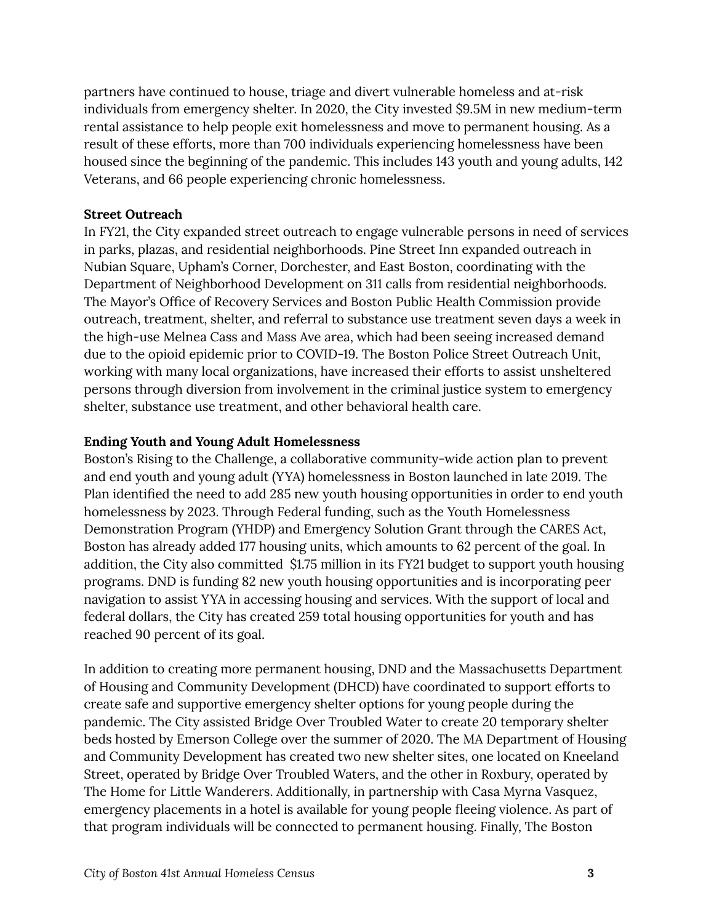partners have continued to house, triage and divert vulnerable homeless and at-risk individuals from emergency shelter. In 2020, the City invested \$9.5M in new medium-term rental assistance to help people exit homelessness and move to permanent housing. As a result of these efforts, more than 700 individuals experiencing homelessness have been housed since the beginning of the pandemic. This includes 143 youth and young adults, 142 Veterans, and 66 people experiencing chronic homelessness.

#### **Street Outreach**

In FY21, the City expanded street outreach to engage vulnerable persons in need of services in parks, plazas, and residential neighborhoods. Pine Street Inn expanded outreach in Nubian Square, Upham's Corner, Dorchester, and East Boston, coordinating with the Department of Neighborhood Development on 311 calls from residential neighborhoods. The Mayor's Office of Recovery Services and Boston Public Health Commission provide outreach, treatment, shelter, and referral to substance use treatment seven days a week in the high-use Melnea Cass and Mass Ave area, which had been seeing increased demand due to the opioid epidemic prior to COVID-19. The Boston Police Street Outreach Unit, working with many local organizations, have increased their efforts to assist unsheltered persons through diversion from involvement in the criminal justice system to emergency shelter, substance use treatment, and other behavioral health care.

#### **Ending Youth and Young Adult Homelessness**

Boston's Rising to the Challenge, a collaborative community-wide action plan to prevent and end youth and young adult (YYA) homelessness in Boston launched in late 2019. The Plan identified the need to add 285 new youth housing opportunities in order to end youth homelessness by 2023. Through Federal funding, such as the Youth Homelessness Demonstration Program (YHDP) and Emergency Solution Grant through the CARES Act, Boston has already added 177 housing units, which amounts to 62 percent of the goal. In addition, the City also committed \$1.75 million in its FY21 budget to support youth housing programs. DND is funding 82 new youth housing opportunities and is incorporating peer navigation to assist YYA in accessing housing and services. With the support of local and federal dollars, the City has created 259 total housing opportunities for youth and has reached 90 percent of its goal.

In addition to creating more permanent housing, DND and the Massachusetts Department of Housing and Community Development (DHCD) have coordinated to support efforts to create safe and supportive emergency shelter options for young people during the pandemic. The City assisted Bridge Over Troubled Water to create 20 temporary shelter beds hosted by Emerson College over the summer of 2020. The MA Department of Housing and Community Development has created two new shelter sites, one located on Kneeland Street, operated by Bridge Over Troubled Waters, and the other in Roxbury, operated by The Home for Little Wanderers. Additionally, in partnership with Casa Myrna Vasquez, emergency placements in a hotel is available for young people fleeing violence. As part of that program individuals will be connected to permanent housing. Finally, The Boston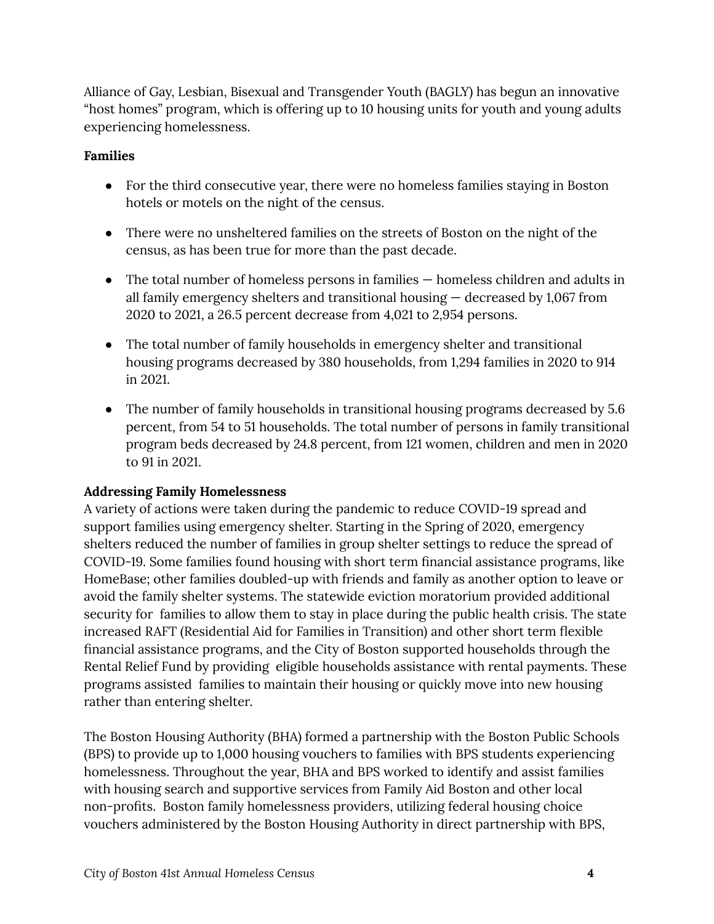Alliance of Gay, Lesbian, Bisexual and Transgender Youth (BAGLY) has begun an innovative "host homes" program, which is offering up to 10 housing units for youth and young adults experiencing homelessness.

#### **Families**

- For the third consecutive year, there were no homeless families staying in Boston hotels or motels on the night of the census.
- There were no unsheltered families on the streets of Boston on the night of the census, as has been true for more than the past decade.
- The total number of homeless persons in families homeless children and adults in all family emergency shelters and transitional housing — decreased by 1,067 from 2020 to 2021, a 26.5 percent decrease from 4,021 to 2,954 persons.
- The total number of family households in emergency shelter and transitional housing programs decreased by 380 households, from 1,294 families in 2020 to 914 in 2021.
- The number of family households in transitional housing programs decreased by 5.6 percent, from 54 to 51 households. The total number of persons in family transitional program beds decreased by 24.8 percent, from 121 women, children and men in 2020 to 91 in 2021.

#### **Addressing Family Homelessness**

A variety of actions were taken during the pandemic to reduce COVID-19 spread and support families using emergency shelter. Starting in the Spring of 2020, emergency shelters reduced the number of families in group shelter settings to reduce the spread of COVID-19. Some families found housing with short term financial assistance programs, like HomeBase; other families doubled-up with friends and family as another option to leave or avoid the family shelter systems. The statewide eviction moratorium provided additional security for families to allow them to stay in place during the public health crisis. The state increased RAFT (Residential Aid for Families in Transition) and other short term flexible financial assistance programs, and the City of Boston supported households through the Rental Relief Fund by providing eligible households assistance with rental payments. These programs assisted families to maintain their housing or quickly move into new housing rather than entering shelter.

The Boston Housing Authority (BHA) formed a partnership with the Boston Public Schools (BPS) to provide up to 1,000 housing vouchers to families with BPS students experiencing homelessness. Throughout the year, BHA and BPS worked to identify and assist families with housing search and supportive services from Family Aid Boston and other local non-profits. Boston family homelessness providers, utilizing federal housing choice vouchers administered by the Boston Housing Authority in direct partnership with BPS,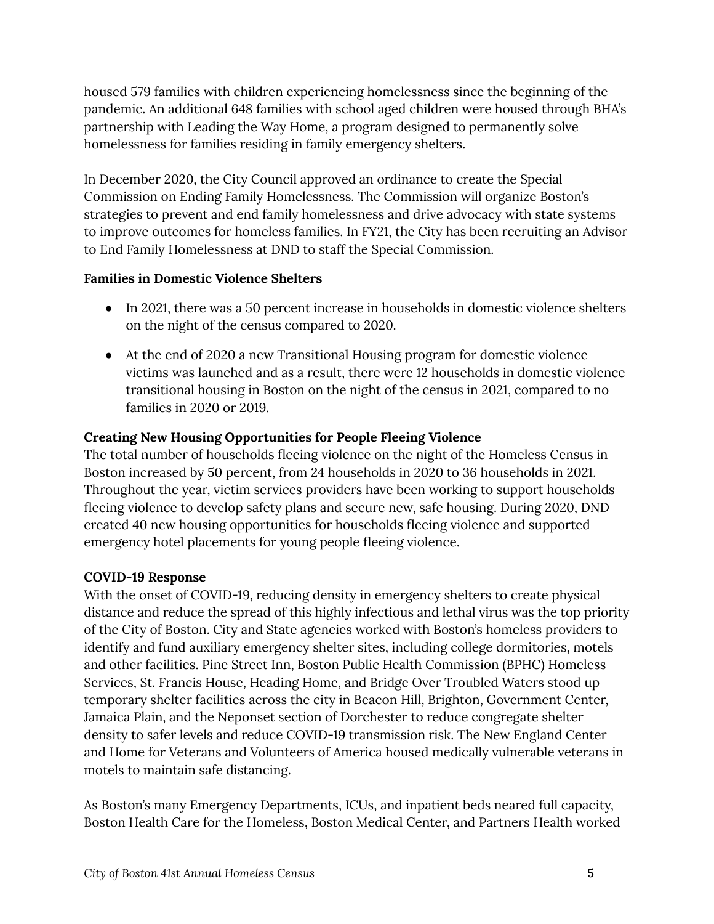housed 579 families with children experiencing homelessness since the beginning of the pandemic. An additional 648 families with school aged children were housed through BHA's partnership with Leading the Way Home, a program designed to permanently solve homelessness for families residing in family emergency shelters.

In December 2020, the City Council approved an ordinance to create the Special Commission on Ending Family Homelessness. The Commission will organize Boston's strategies to prevent and end family homelessness and drive advocacy with state systems to improve outcomes for homeless families. In FY21, the City has been recruiting an Advisor to End Family Homelessness at DND to staff the Special Commission.

#### **Families in Domestic Violence Shelters**

- In 2021, there was a 50 percent increase in households in domestic violence shelters on the night of the census compared to 2020.
- At the end of 2020 a new Transitional Housing program for domestic violence victims was launched and as a result, there were 12 households in domestic violence transitional housing in Boston on the night of the census in 2021, compared to no families in 2020 or 2019.

## **Creating New Housing Opportunities for People Fleeing Violence**

The total number of households fleeing violence on the night of the Homeless Census in Boston increased by 50 percent, from 24 households in 2020 to 36 households in 2021. Throughout the year, victim services providers have been working to support households fleeing violence to develop safety plans and secure new, safe housing. During 2020, DND created 40 new housing opportunities for households fleeing violence and supported emergency hotel placements for young people fleeing violence.

## **COVID-19 Response**

With the onset of COVID-19, reducing density in emergency shelters to create physical distance and reduce the spread of this highly infectious and lethal virus was the top priority of the City of Boston. City and State agencies worked with Boston's homeless providers to identify and fund auxiliary emergency shelter sites, including college dormitories, motels and other facilities. Pine Street Inn, Boston Public Health Commission (BPHC) Homeless Services, St. Francis House, Heading Home, and Bridge Over Troubled Waters stood up temporary shelter facilities across the city in Beacon Hill, Brighton, Government Center, Jamaica Plain, and the Neponset section of Dorchester to reduce congregate shelter density to safer levels and reduce COVID-19 transmission risk. The New England Center and Home for Veterans and Volunteers of America housed medically vulnerable veterans in motels to maintain safe distancing.

As Boston's many Emergency Departments, ICUs, and inpatient beds neared full capacity, Boston Health Care for the Homeless, Boston Medical Center, and Partners Health worked